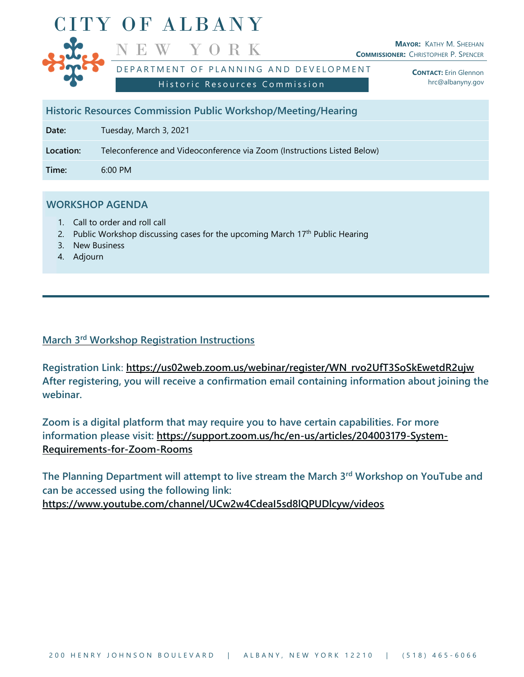

**Historic Resources Commission Public Workshop/Meeting/Hearing**

**Date:** Tuesday, March 3, 2021

**Location:** Teleconference and Videoconference via Zoom (Instructions Listed Below)

**Time:** 6:00 PM

## **WORKSHOP AGENDA**

- 1. Call to order and roll call
- 2. Public Workshop discussing cases for the upcoming March  $17<sup>th</sup>$  Public Hearing
- 3. New Business
- 4. Adjourn

## **March 3 rd Workshop Registration Instructions**

**Registration Link**: **https://us02web.zoom.us/webinar/register/WN\_rvo2UfT3SoSkEwetdR2ujw After registering, you will receive a confirmation email containing information about joining the webinar.**

**Zoom is a digital platform that may require you to have certain capabilities. For more information please visit: [https://support.zoom.us/hc/en-us/articles/204003179-System-](https://support.zoom.us/hc/en-us/articles/204003179-System-Requirements-for-Zoom-Rooms)[Requirements-for-Zoom-Rooms](https://support.zoom.us/hc/en-us/articles/204003179-System-Requirements-for-Zoom-Rooms)**

**The Planning Department will attempt to live stream the March 3 rd Workshop on YouTube and can be accessed using the following link: <https://www.youtube.com/channel/UCw2w4CdeaI5sd8lQPUDlcyw/videos>**